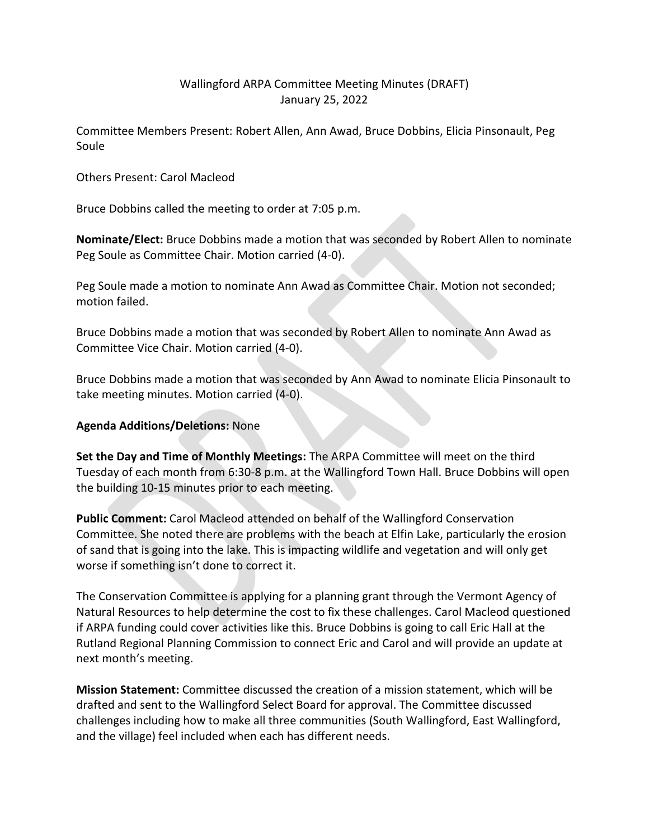## Wallingford ARPA Committee Meeting Minutes (DRAFT) January 25, 2022

Committee Members Present: Robert Allen, Ann Awad, Bruce Dobbins, Elicia Pinsonault, Peg Soule

Others Present: Carol Macleod

Bruce Dobbins called the meeting to order at 7:05 p.m.

**Nominate/Elect:** Bruce Dobbins made a motion that was seconded by Robert Allen to nominate Peg Soule as Committee Chair. Motion carried (4-0).

Peg Soule made a motion to nominate Ann Awad as Committee Chair. Motion not seconded; motion failed.

Bruce Dobbins made a motion that was seconded by Robert Allen to nominate Ann Awad as Committee Vice Chair. Motion carried (4-0).

Bruce Dobbins made a motion that was seconded by Ann Awad to nominate Elicia Pinsonault to take meeting minutes. Motion carried (4-0).

## **Agenda Additions/Deletions:** None

**Set the Day and Time of Monthly Meetings:** The ARPA Committee will meet on the third Tuesday of each month from 6:30-8 p.m. at the Wallingford Town Hall. Bruce Dobbins will open the building 10-15 minutes prior to each meeting.

**Public Comment:** Carol Macleod attended on behalf of the Wallingford Conservation Committee. She noted there are problems with the beach at Elfin Lake, particularly the erosion of sand that is going into the lake. This is impacting wildlife and vegetation and will only get worse if something isn't done to correct it.

The Conservation Committee is applying for a planning grant through the Vermont Agency of Natural Resources to help determine the cost to fix these challenges. Carol Macleod questioned if ARPA funding could cover activities like this. Bruce Dobbins is going to call Eric Hall at the Rutland Regional Planning Commission to connect Eric and Carol and will provide an update at next month's meeting.

**Mission Statement:** Committee discussed the creation of a mission statement, which will be drafted and sent to the Wallingford Select Board for approval. The Committee discussed challenges including how to make all three communities (South Wallingford, East Wallingford, and the village) feel included when each has different needs.